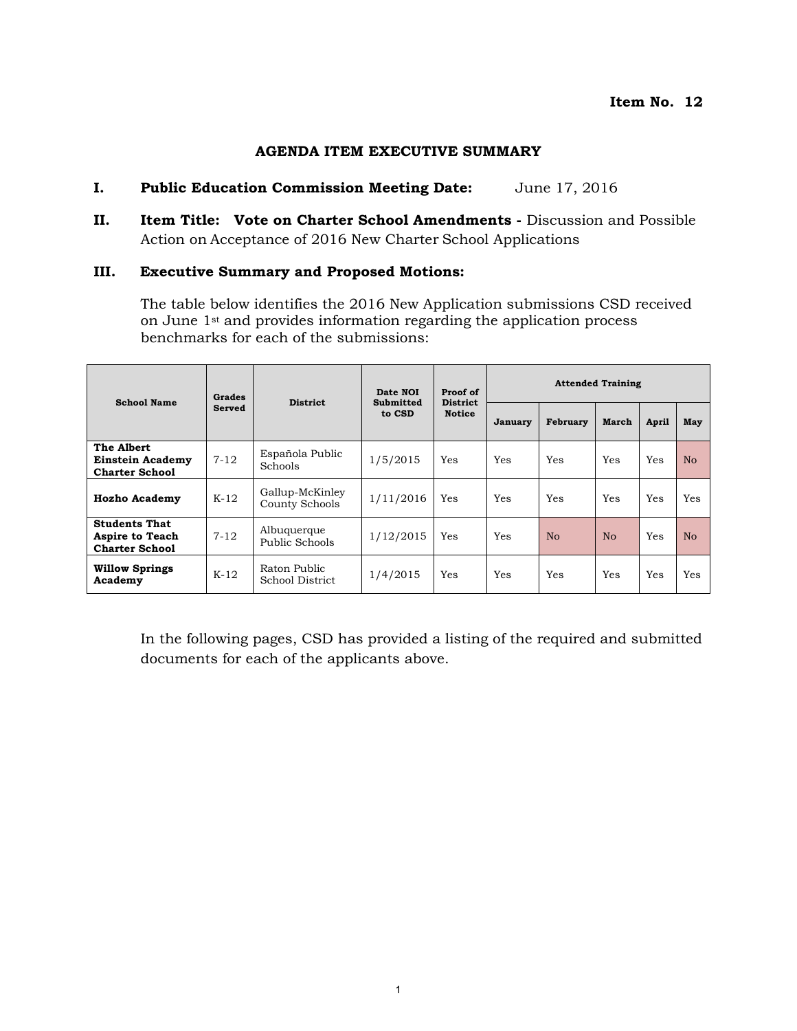#### **AGENDA ITEM EXECUTIVE SUMMARY**

#### **I. Public Education Commission Meeting Date:** June 17, 2016

**II. Item Title: Vote on Charter School Amendments - Discussion and Possible** Action on Acceptance of 2016 New Charter School Applications

#### **III. Executive Summary and Proposed Motions:**

The table below identifies the 2016 New Application submissions CSD received on June 1<sup>st</sup> and provides information regarding the application process benchmarks for each of the submissions:

| <b>School Name</b>                                                      | Grades        | <b>District</b>                   | Proof of<br>Date NOI<br><b>District</b><br>Submitted | <b>Attended Training</b> |          |       |              |     |                |
|-------------------------------------------------------------------------|---------------|-----------------------------------|------------------------------------------------------|--------------------------|----------|-------|--------------|-----|----------------|
|                                                                         | <b>Served</b> | to CSD                            | <b>Notice</b>                                        | January                  | February | March | <b>April</b> | May |                |
| The Albert<br><b>Einstein Academy</b><br><b>Charter School</b>          | $7 - 12$      | Española Public<br><b>Schools</b> | 1/5/2015                                             | Yes                      | Yes      | Yes   | <b>Yes</b>   | Yes | N <sub>o</sub> |
| <b>Hozho Academy</b>                                                    | $K-12$        | Gallup-McKinley<br>County Schools | 1/11/2016                                            | Yes                      | Yes      | Yes   | <b>Yes</b>   | Yes | Yes            |
| <b>Students That</b><br><b>Aspire to Teach</b><br><b>Charter School</b> | $7 - 12$      | Albuquerque<br>Public Schools     | 1/12/2015                                            | Yes                      | Yes      | No    | No           | Yes | N <sub>o</sub> |
| <b>Willow Springs</b><br>Academy                                        | $K-12$        | Raton Public<br>School District   | 1/4/2015                                             | Yes                      | Yes      | Yes   | <b>Yes</b>   | Yes | Yes            |

In the following pages, CSD has provided a listing of the required and submitted documents for each of the applicants above.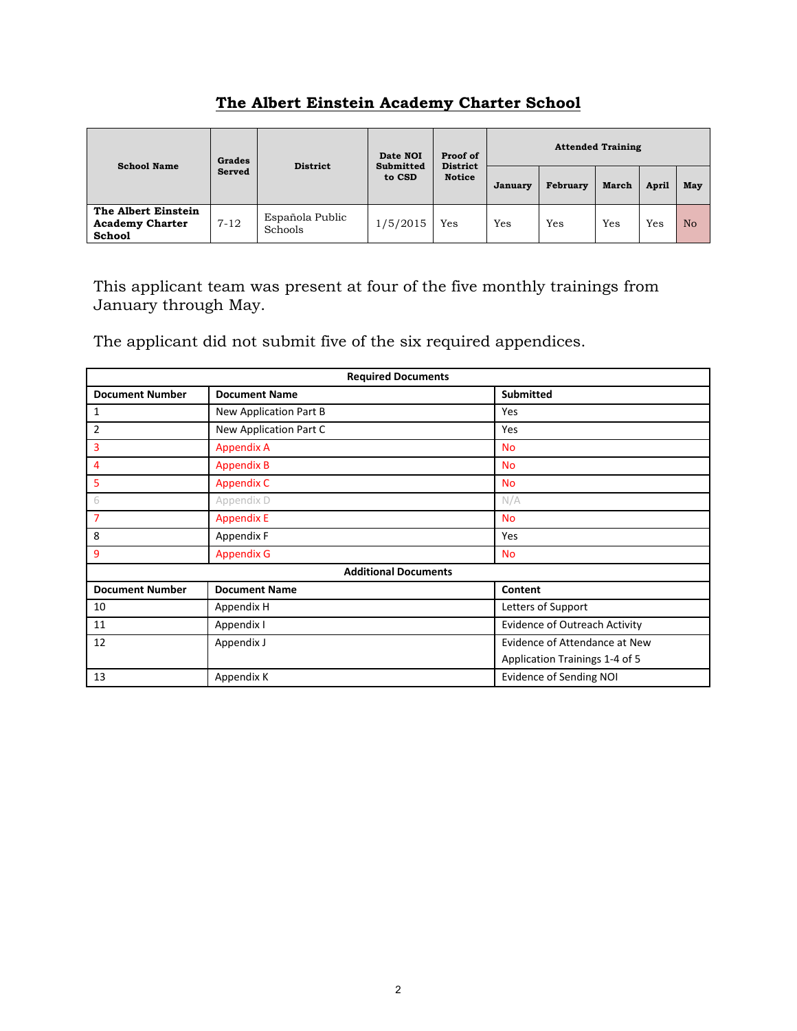# **The Albert Einstein Academy Charter School**

| <b>School Name</b>                                             | Grades   | <b>District</b>            | Date NOI | Proof of<br><b>District</b><br>Submitted<br><b>Notice</b><br>to CSD | <b>Attended Training</b> |          |              |       |           |  |
|----------------------------------------------------------------|----------|----------------------------|----------|---------------------------------------------------------------------|--------------------------|----------|--------------|-------|-----------|--|
|                                                                | Served   |                            |          |                                                                     | January                  | February | <b>March</b> | April | May       |  |
| The Albert Einstein<br><b>Academy Charter</b><br><b>School</b> | $7 - 12$ | Española Public<br>Schools | 1/5/2015 | Yes                                                                 | Yes                      | Yes      | Yes          | Yes   | <b>No</b> |  |

This applicant team was present at four of the five monthly trainings from January through May.

The applicant did not submit five of the six required appendices.

| <b>Required Documents</b> |                             |                                      |  |  |  |
|---------------------------|-----------------------------|--------------------------------------|--|--|--|
| <b>Document Number</b>    | <b>Document Name</b>        | <b>Submitted</b>                     |  |  |  |
| 1                         | New Application Part B      | Yes                                  |  |  |  |
| $\overline{2}$            | New Application Part C      | Yes                                  |  |  |  |
| 3                         | <b>Appendix A</b>           | <b>No</b>                            |  |  |  |
| 4                         | <b>Appendix B</b>           | <b>No</b>                            |  |  |  |
| 5                         | <b>Appendix C</b>           | <b>No</b>                            |  |  |  |
| 6                         | Appendix D                  | N/A                                  |  |  |  |
| 7                         | <b>Appendix E</b>           | <b>No</b>                            |  |  |  |
| 8                         | Appendix F                  | Yes                                  |  |  |  |
| 9                         | <b>Appendix G</b>           | <b>No</b>                            |  |  |  |
|                           | <b>Additional Documents</b> |                                      |  |  |  |
| <b>Document Number</b>    | <b>Document Name</b>        | Content                              |  |  |  |
| 10                        | Appendix H                  | Letters of Support                   |  |  |  |
| 11                        | Appendix I                  | <b>Evidence of Outreach Activity</b> |  |  |  |
| 12                        | Appendix J                  | Evidence of Attendance at New        |  |  |  |
|                           |                             | Application Trainings 1-4 of 5       |  |  |  |
| 13                        | Appendix K                  | Evidence of Sending NOI              |  |  |  |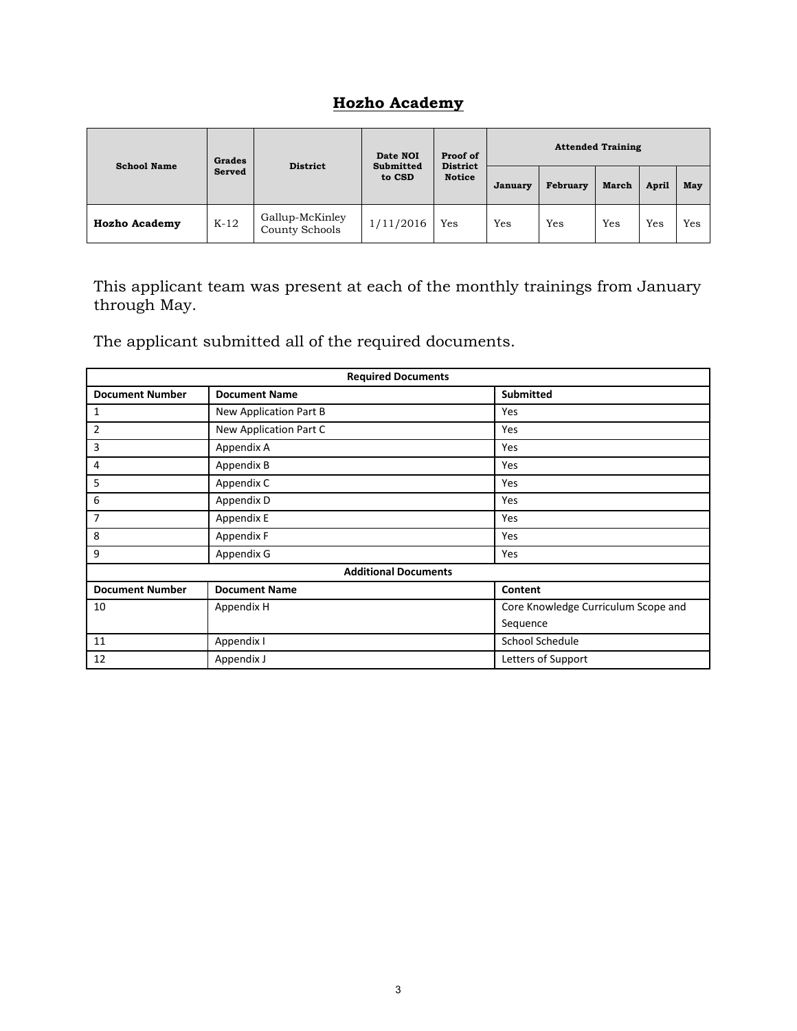### **Hozho Academy**

| <b>School Name</b>   | <b>Grades</b> | <b>District</b>                   | <b>Attended Training</b><br>Proof of<br>Date NOI<br><b>District</b><br><b>Submitted</b> |               |         |          |              |              |     |
|----------------------|---------------|-----------------------------------|-----------------------------------------------------------------------------------------|---------------|---------|----------|--------------|--------------|-----|
|                      | Served        |                                   | to CSD                                                                                  | <b>Notice</b> | January | February | <b>March</b> | <b>April</b> | May |
| <b>Hozho Academy</b> | $K-12$        | Gallup-McKinley<br>County Schools | 1/11/2016                                                                               | Yes           | Yes     | Yes      | Yes          | Yes          | Yes |

This applicant team was present at each of the monthly trainings from January through May.

The applicant submitted all of the required documents.

| <b>Required Documents</b> |                             |                                     |  |  |  |
|---------------------------|-----------------------------|-------------------------------------|--|--|--|
| <b>Document Number</b>    | <b>Document Name</b>        | <b>Submitted</b>                    |  |  |  |
| 1                         | New Application Part B      | Yes                                 |  |  |  |
| $\overline{2}$            | New Application Part C      | Yes                                 |  |  |  |
| 3                         | Appendix A                  | Yes                                 |  |  |  |
| 4                         | Appendix B                  | Yes                                 |  |  |  |
| 5                         | Appendix C                  | Yes                                 |  |  |  |
| 6                         | Appendix D                  | Yes                                 |  |  |  |
| 7                         | Appendix E                  | Yes                                 |  |  |  |
| 8                         | Appendix F                  | Yes                                 |  |  |  |
| 9                         | Appendix G                  | Yes                                 |  |  |  |
|                           | <b>Additional Documents</b> |                                     |  |  |  |
| <b>Document Number</b>    | <b>Document Name</b>        | Content                             |  |  |  |
| 10                        | Appendix H                  | Core Knowledge Curriculum Scope and |  |  |  |
|                           |                             | Sequence                            |  |  |  |
| 11                        | Appendix I                  | School Schedule                     |  |  |  |
| 12                        | Appendix J                  | Letters of Support                  |  |  |  |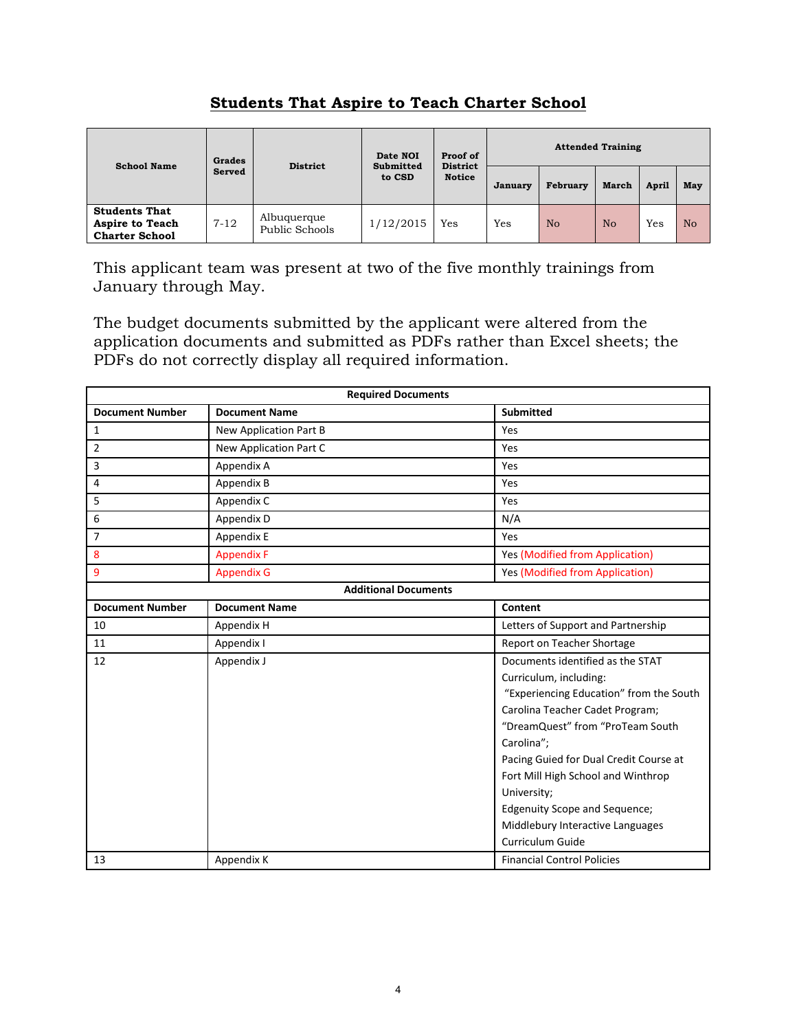| <b>School Name</b>                                                      | Grades   | <b>District</b>               | Date NOI<br><b>Submitted</b><br>to CSD | Proof of<br><b>District</b> |         | <b>Attended Training</b> |       |              |                |  |
|-------------------------------------------------------------------------|----------|-------------------------------|----------------------------------------|-----------------------------|---------|--------------------------|-------|--------------|----------------|--|
|                                                                         | Served   |                               |                                        | <b>Notice</b>               | January | February                 | March | <b>April</b> | May            |  |
| <b>Students That</b><br><b>Aspire to Teach</b><br><b>Charter School</b> | $7 - 12$ | Albuquerque<br>Public Schools | 1/12/2015                              | Yes                         | Yes     | N <sub>o</sub>           | No    | Yes          | N <sub>o</sub> |  |

## **Students That Aspire to Teach Charter School**

This applicant team was present at two of the five monthly trainings from January through May.

The budget documents submitted by the applicant were altered from the application documents and submitted as PDFs rather than Excel sheets; the PDFs do not correctly display all required information.

| <b>Required Documents</b> |                             |                                         |  |  |  |  |
|---------------------------|-----------------------------|-----------------------------------------|--|--|--|--|
| <b>Document Number</b>    | <b>Document Name</b>        | <b>Submitted</b>                        |  |  |  |  |
| $\mathbf{1}$              | New Application Part B      | Yes                                     |  |  |  |  |
| $\overline{2}$            | New Application Part C      | Yes                                     |  |  |  |  |
| 3                         | Appendix A                  | Yes                                     |  |  |  |  |
| 4                         | Appendix B                  | Yes                                     |  |  |  |  |
| 5                         | Appendix C                  | Yes                                     |  |  |  |  |
| 6                         | Appendix D                  | N/A                                     |  |  |  |  |
| 7                         | Appendix E                  | Yes                                     |  |  |  |  |
| 8                         | <b>Appendix F</b>           | Yes (Modified from Application)         |  |  |  |  |
| 9                         | <b>Appendix G</b>           | Yes (Modified from Application)         |  |  |  |  |
|                           | <b>Additional Documents</b> |                                         |  |  |  |  |
| <b>Document Number</b>    | <b>Document Name</b>        | Content                                 |  |  |  |  |
| 10                        | Appendix H                  | Letters of Support and Partnership      |  |  |  |  |
| 11                        | Appendix I                  | Report on Teacher Shortage              |  |  |  |  |
| 12                        | Appendix J                  | Documents identified as the STAT        |  |  |  |  |
|                           |                             | Curriculum, including:                  |  |  |  |  |
|                           |                             | "Experiencing Education" from the South |  |  |  |  |
|                           |                             | Carolina Teacher Cadet Program;         |  |  |  |  |
|                           |                             | "DreamQuest" from "ProTeam South        |  |  |  |  |
|                           |                             | Carolina";                              |  |  |  |  |
|                           |                             | Pacing Guied for Dual Credit Course at  |  |  |  |  |
|                           |                             | Fort Mill High School and Winthrop      |  |  |  |  |
|                           |                             | University;                             |  |  |  |  |
|                           |                             | <b>Edgenuity Scope and Sequence;</b>    |  |  |  |  |
|                           |                             | Middlebury Interactive Languages        |  |  |  |  |
|                           |                             | Curriculum Guide                        |  |  |  |  |
| 13                        | Appendix K                  | <b>Financial Control Policies</b>       |  |  |  |  |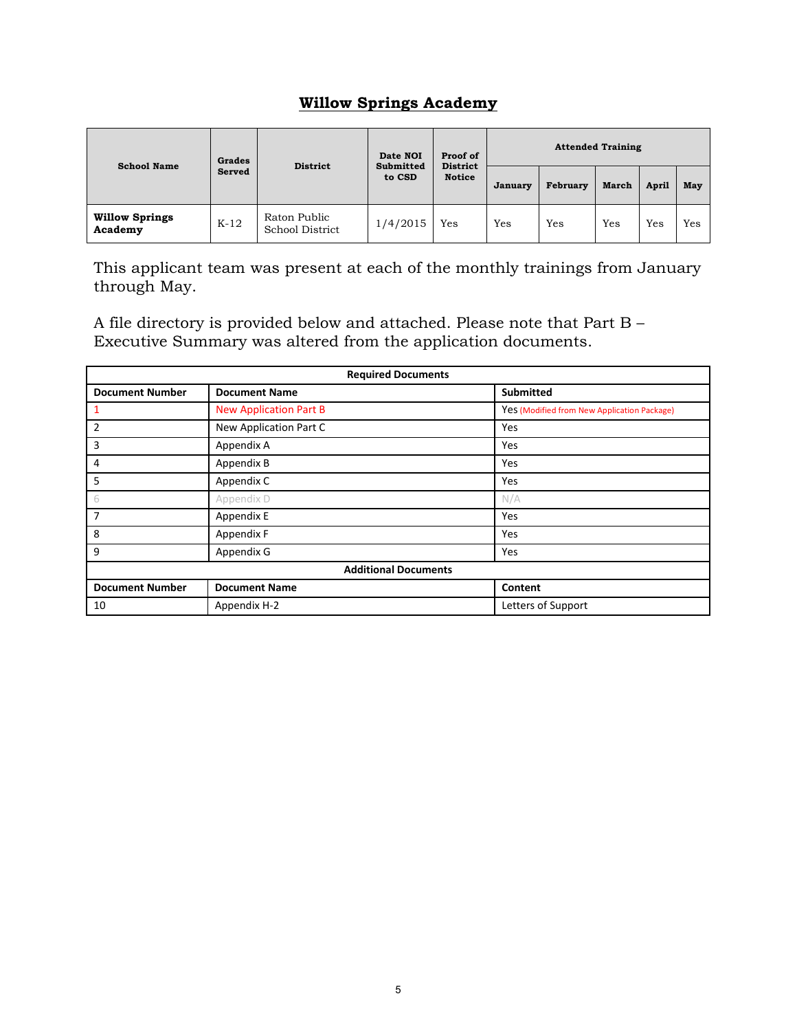### **Willow Springs Academy**

| <b>School Name</b>               | Grades | <b>District</b>                 | Proof of<br>Date NOI<br><b>District</b><br><b>Submitted</b><br><b>Notice</b><br>to CSD | <b>Attended Training</b> |                |          |              |              |     |  |
|----------------------------------|--------|---------------------------------|----------------------------------------------------------------------------------------|--------------------------|----------------|----------|--------------|--------------|-----|--|
|                                  | Served |                                 |                                                                                        |                          | <b>January</b> | February | <b>March</b> | <b>April</b> | May |  |
| <b>Willow Springs</b><br>Academy | $K-12$ | Raton Public<br>School District | 1/4/2015                                                                               | Yes                      | Yes            | Yes      | Yes          | Yes          | Yes |  |

This applicant team was present at each of the monthly trainings from January through May.

A file directory is provided below and attached. Please note that Part B – Executive Summary was altered from the application documents.

| <b>Required Documents</b>   |                               |                                             |  |  |  |  |
|-----------------------------|-------------------------------|---------------------------------------------|--|--|--|--|
| <b>Document Number</b>      | <b>Document Name</b>          | <b>Submitted</b>                            |  |  |  |  |
| $\mathbf{1}$                | <b>New Application Part B</b> | Yes (Modified from New Application Package) |  |  |  |  |
| $\overline{2}$              | New Application Part C        | Yes                                         |  |  |  |  |
| $\overline{3}$              | Appendix A                    | Yes                                         |  |  |  |  |
| 4                           | Appendix B                    | Yes                                         |  |  |  |  |
| -5                          | Appendix C                    | Yes                                         |  |  |  |  |
| 6                           | Appendix D                    | N/A                                         |  |  |  |  |
| 7                           | Appendix E                    | Yes                                         |  |  |  |  |
| 8                           | Appendix F                    | Yes                                         |  |  |  |  |
| 9                           | Appendix G                    | Yes                                         |  |  |  |  |
| <b>Additional Documents</b> |                               |                                             |  |  |  |  |
| <b>Document Number</b>      | <b>Document Name</b>          | Content                                     |  |  |  |  |
| 10                          | Appendix H-2                  | Letters of Support                          |  |  |  |  |